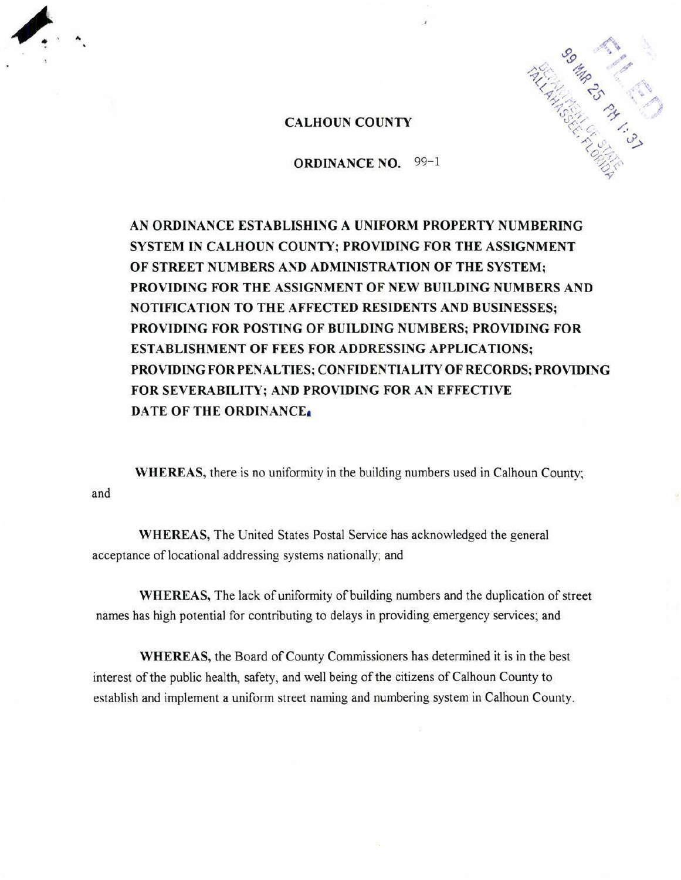

# CALHOUN COUNTY

#### ORDINANCE NO. 99-1

AN ORDINANCE ESTABLISHING A UNIFORM PROPERTY NUMBERING SYSTEM IN CALHOUN COUNTY; PROVIDING FOR THE ASSIGNMENT OF STREET NUMBERS AND ADMINISTRATION OF THE SYSTEM; PROVIDING FOR THE ASSIGNMENT OF NEW BUILDING NUMBERS AND NOTIFICATION TO THE AFFECTED RESIDENTS AND BUSINESSES; PROVIDING FOR POSTING OF BUILDING NUMBERS; PROVIDING FOR ESTABLISHMENT OF FEES FOR ADDRESSING APPLICATIONS; PROVIDING FOR PENALTIES; CONFIDENTIALITY OF RECORDS; PROVIDING FOR SEVERABILITY; AND PROVIDING FOR AN EFFECTIVE DATE OF THE ORDINANCEa

and WHEREAS, there is no uniformity in the building numbers used in Calhoun County:

WHEREAS, The United States Postal Service has acknowledged the general acceptance of locational addressing systems nationally; and

WHEREAS, The lack of uniformity of building numbers and the duplication of street names has high potential for contributing to delays in providing emergency services; and

WHEREAS, the Board of County Commissioners has determined it is in the best interest of the public health, safety, and well being of the citizens of Calhoun County to establish and implement a uniform street naming and numbering system in Calhoun County.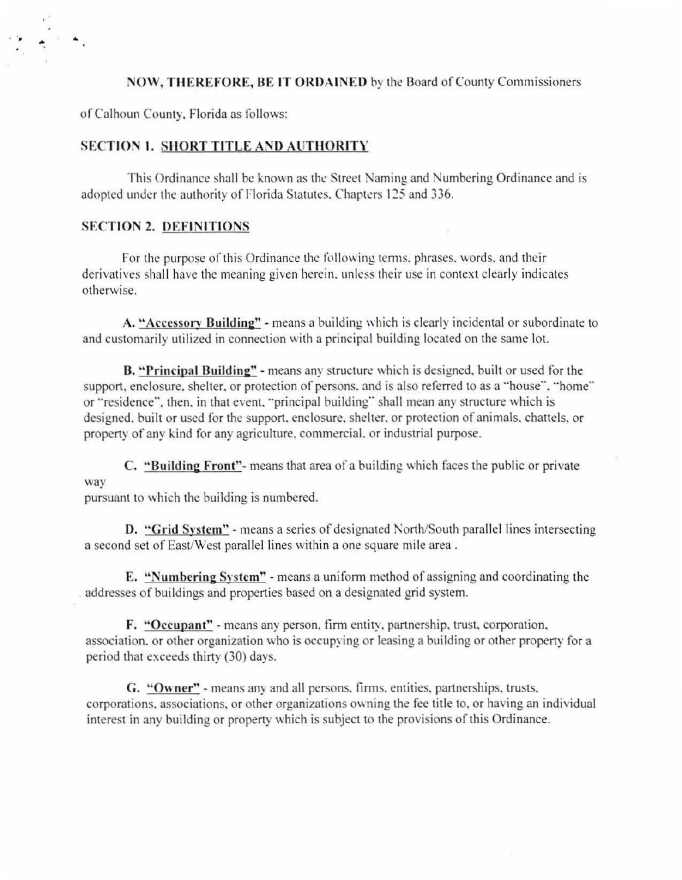## NOW, THEREFORE, BE IT ORDAINED by the Board of County Commissioners

of Calhoun County. Florida as follows:

 $\ddot{\phantom{a}}$ ...

## **SECTION 1. SHORT TITLE AND AUTHORITY**

This Ordinance shall be known as the Street Naming and Numbering Ordinance and is adopted under the authority of Florida Statutes. Chapters 125 and 336.

# SECTION *2.* DEFINITIONS

For the purpose of this Ordinance the following terms, phrases, words, and their derivatives shall have the meaning given herein, unless their use in context clearly indicates otherwise.

A. "Accessory Building" - means a building which is clearly incidental or subordinate to and customarily utilized in connection with a principal building located on the same lot.

B. "Principal Building" - means any structure which is designed, built or used for the support, enclosure, shelter, or protection of persons, and is also referred to as a "house", "home" or "residence", then, in that event, "principal building" shall mean any structure which is designed. built or used for the support. enclosure. shelter. or protection of animals. chattels. or property of any kind for any agriculture. commercial. or industrial purpose.

C. "Building Front"- means that area of a building which faces the public or private way

pursuant to which the building is numbered.

D. "Grid System" - means a series of designated North/South parallel lines intersecting a second set of East/West parallel lines within a one square mile area.

E. "Numbering System" - means a uniform method of assigning and coordinating the addresses of buildings and properties based on a designated grid system.

F. "Occupant" - means any person. firm entity. partnershjp. trust. corporation. association. or other organization who is occupying or leasing a building or other property for a period that exceeds thirty (30) days.

G. "Owner" - means any and all persons. firms. entities. partnerships. trusts. corporations. associations, or other organizations owning the fee title to. or having an individual interest in any building or property which is subject to the provisions of this Ordinance.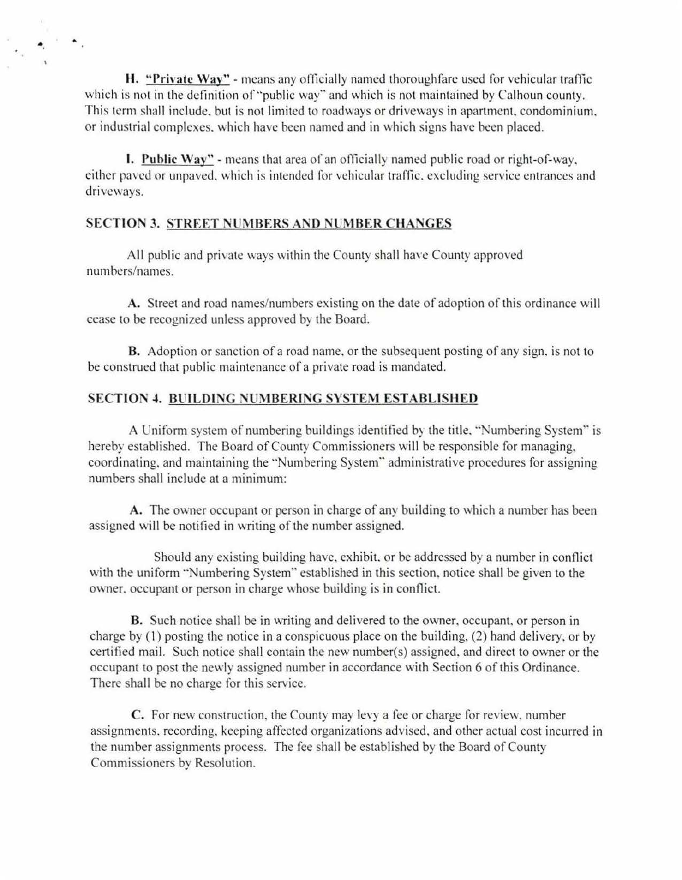H. "Private Way" - means any officially named thoroughfare used for vehicular traffic which is not in the definition of "public way" and which is not maintained by Calhoun county. This term shall include. but is not limited to roadways or driveways in apartment. condominium. or industrial complexes, which have been named and in which signs have been placed.

**I. Public Way"** - means that area of an officially named public road or right-of-way. either paved or unpaved. which is intended for vehicular traffic. excluding service entrances and driveways.

### **SECTION 3. STREET NUMBERS AND NUMBER CHANGES**

•.

 $\bullet$  .

All public and private ways within the County shall have County approved numbers/names.

**A.** Street and road names/numbers existing on the date of adoption of this ordinance will cease to be recognized unless approved by the Board.

**B.** Adoption or sanction of a road name, or the subsequent posting of any sign, is not to be construed that public maintenance of a private road is mandated.

# **SECTION .t. BUILDING NUMBERING SYSTEM ESTABLISHED**

A Uniform system of numbering buildings identified by the title. "Numbering System" is hereby established. The Board of County Commissioners will be responsible for managing, coordinating. and maintaining the "Numbering System" administrative procedures for assigning numbers shall include at a minimum:

A. The owner occupant or person in charge of any building to which a number has been assigned will be notified in writing of the number assigned.

Should any existing building have. exhibit. or be addressed by a number in conflict with the uniform "Numbering System" established in this section, notice shall be given to the owner. occupant or person in charge whose building is in conflict.

**B.** Such notice shall be in writing and delivered to the owner, occupant. or person in charge by (I) posting the notice in a conspicuous place on the building, (2) hand delivery. or by certified mail. Such notice shall contain the new number(s) assigned. and direct to owner or the occupant to post the newly assigned number in accordance with Section 6 of this Ordinance. There shall be no charge for this service.

**C.** For new construction, the County may levy a fee or charge for review, number assignments. recording. keeping affected organizations advised. and other actual cost incurred in the number assignments process. The fee shall be established by the Board of County Commissioners by Resolution.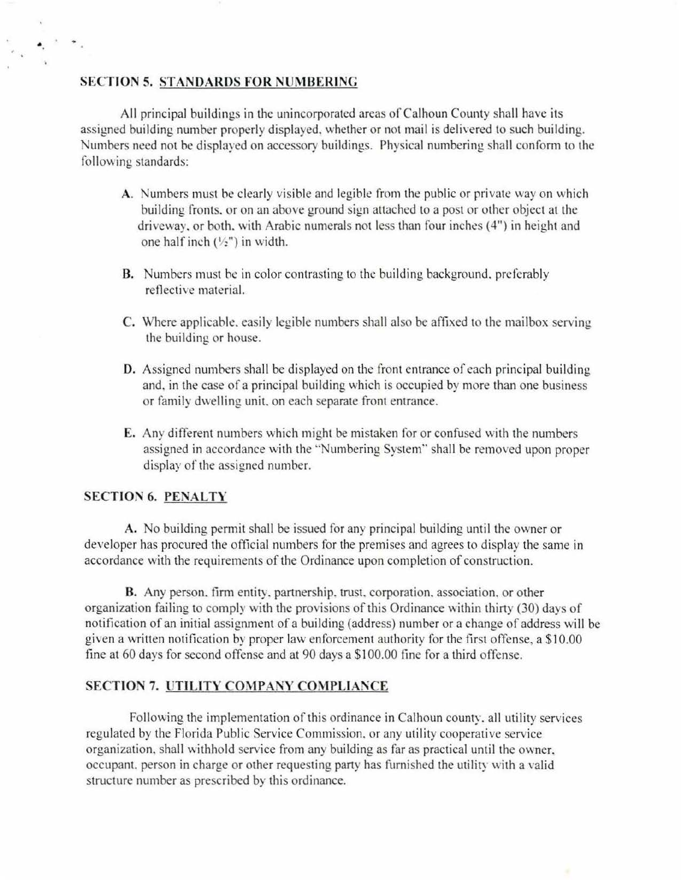#### **SECTION 5. STANDARDS FOR NUMBERING**

..

 $\lambda$  .

All principal buildings in the unincorporated areas of Calhoun County shall have its assigned building number properly displayed. whether or not mail is delivered to such building. umbers need not be displayed on accessory buildings. Physical numbering shall conform to the following standards:

- **A.** Numbers must be clearly visible and legible from the public or private way on which building fronts. or on an above ground sign attached to a post or other object at the driveway. or both. with Arabic numerals not less than four inches (4") in height and one half inch  $(\frac{1}{2})$  in width.
- **B.** Numbers must be in color contrasting to the building background. preferably reflective material.
- C. Where applicable, easily legible numbers shall also be affixed to the mailbox serving the building or house.
- **0 .** Assigned numbers shall be displayed on the front entrance of each principal building and, in the case of a principal building which is occupied by more than one business or family dwelling unit. on each separate front entrance.
- **E.** Any different numbers which might be mistaken for or confused with the numbers assigned in accordance with the "Numbering System" shall be removed upon proper display of the assigned number.

# **SECTION 6. PENALTY**

**A.** No building permit shall be issued for any principal building until the owner or developer has procured the official numbers for the premises and agrees to display the same in accordance with the requirements of the Ordinance upon completion of construction.

**B.** Any person. firm entity. partnership. trust. corporation. association, or other organization failing to comply with the provisions of this Ordinance within thirty (30) days of notification of an initial assignment of a building (address) number or a change of address will be given a written notification by proper law enforcement authority for the first offense, a \$10.00 fine at 60 days for second offense and at 90 days a \$1 00.00 fine for a thjrd offense.

# **SECTION 7. UTILITY COMPANY COMPLIANCE**

Following the implementation of this ordinance in Calhoun county. all utility services regulated by the Florida Public Service Commission. or any utility cooperative service organization. shall withhold service from any building as far as practical until the owner. occupant. person in charge or other requesting party has furnished the utiliry with a valid structure number as prescribed by this ordinance.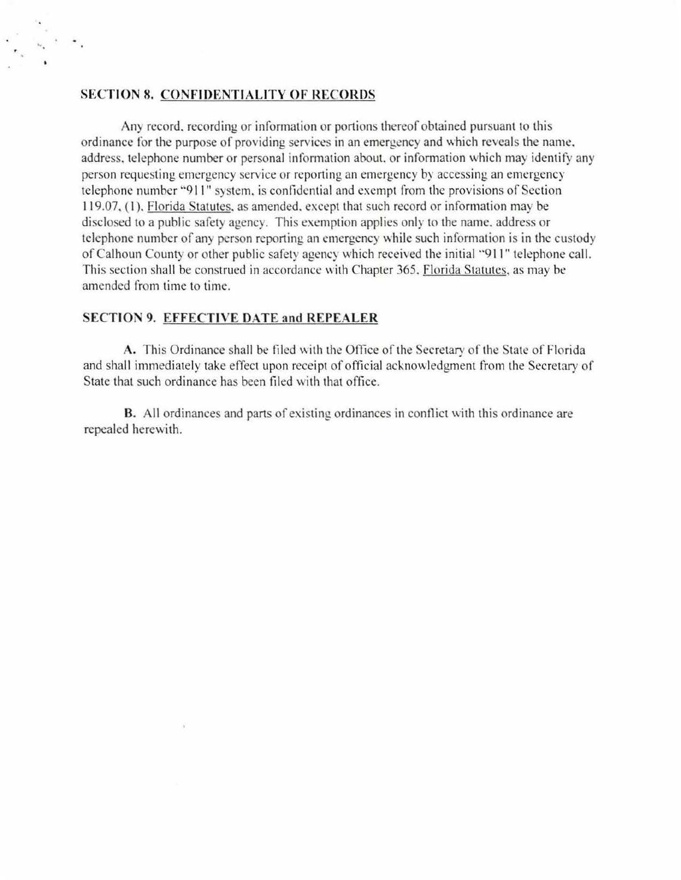#### **SECTION 8. CONFIDENTIALITY OF RECORDS**

.. .

Any record, recording or information or portions thereof obtained pursuant to this ordinance for the purpose of providing services in an emergency and which reveals the name. address, telephone number or personal information about, or information which may identify any person requesting emergency service or reporting an emergency by accessing an emergency telephone number "9 11" system. is confidential and exempt from the provisions of Section 119.07, (1). Florida Statutes, as amended, except that such record or information may be disclosed to a public safety agency. This exemption applies only to the name. address or telephone number of any person reporting an emergency while such information is in the custody of Calhoun County or other public safety agency which received the initial "911" tekphone call. This section shall be construed in accordance with Chapter 365. Florida Statutes, as may be amended from time to time.

## **SECTION 9. EFFECTIVE DATE and REPEALER**

**A.** This Ordinance shall be filed with the Office of the Secretary of the State of Florida and shall immediately take effect upon receipt of official acknowledgment from the Secretary of State that such ordinance has been filed with that office.

**B.** All ordinances and parts of existing ordinances in conflict with this ordinance are repealed herewith.